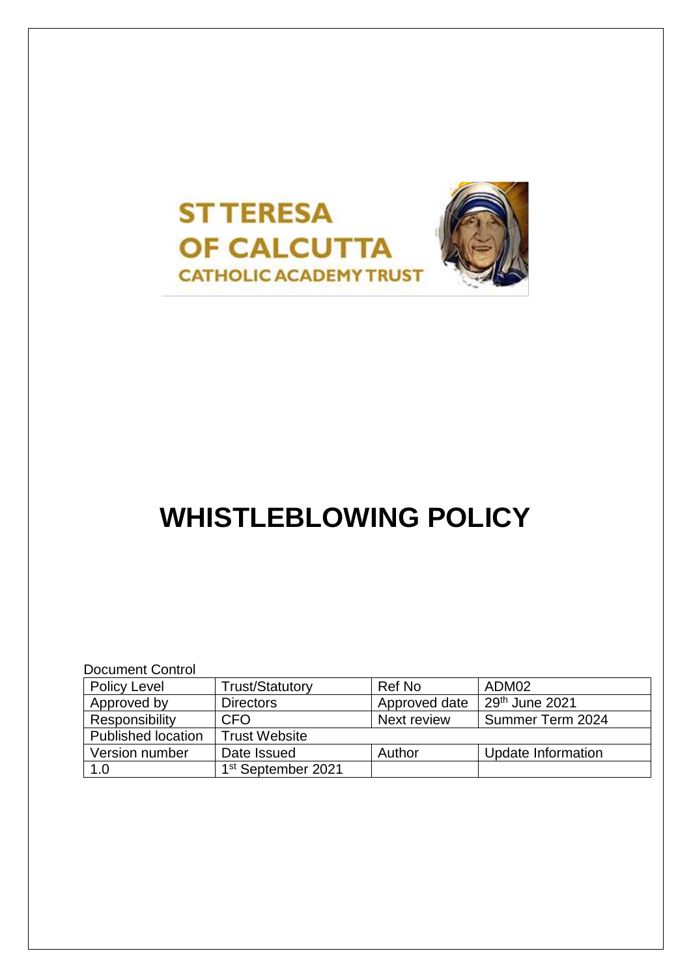

# **WHISTLEBLOWING POLICY**

Document Control

| <b>Policy Level</b>       | <b>Trust/Statutory</b>         | Ref No        | ADM02                      |
|---------------------------|--------------------------------|---------------|----------------------------|
| Approved by               | <b>Directors</b>               | Approved date | 29 <sup>th</sup> June 2021 |
| Responsibility            | CFO                            | Next review   | Summer Term 2024           |
| <b>Published location</b> | <b>Trust Website</b>           |               |                            |
| Version number            | Date Issued                    | Author        | Update Information         |
| 1.0                       | 1 <sup>st</sup> September 2021 |               |                            |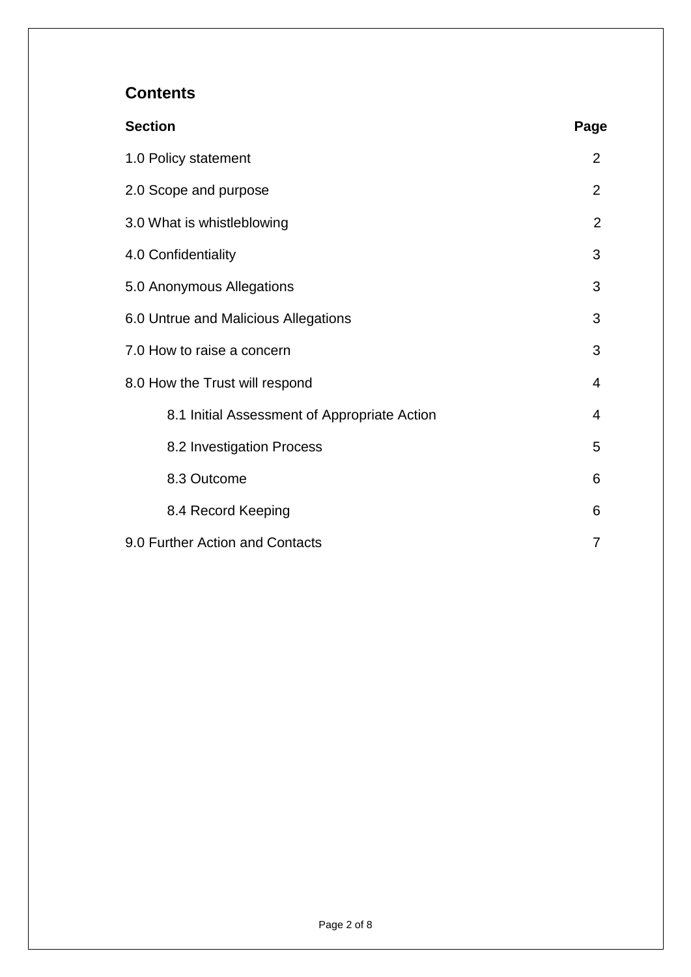# **Contents**

| <b>Section</b>                               | Page           |  |
|----------------------------------------------|----------------|--|
| 1.0 Policy statement                         | $\overline{2}$ |  |
| 2.0 Scope and purpose                        | $\overline{2}$ |  |
| 3.0 What is whistleblowing                   |                |  |
| 4.0 Confidentiality                          |                |  |
| 5.0 Anonymous Allegations                    |                |  |
| 6.0 Untrue and Malicious Allegations         | 3              |  |
| 7.0 How to raise a concern                   | 3              |  |
| 8.0 How the Trust will respond               |                |  |
| 8.1 Initial Assessment of Appropriate Action | 4              |  |
| 8.2 Investigation Process                    | 5              |  |
| 8.3 Outcome                                  | 6              |  |
| 8.4 Record Keeping                           | 6              |  |
| 9.0 Further Action and Contacts              |                |  |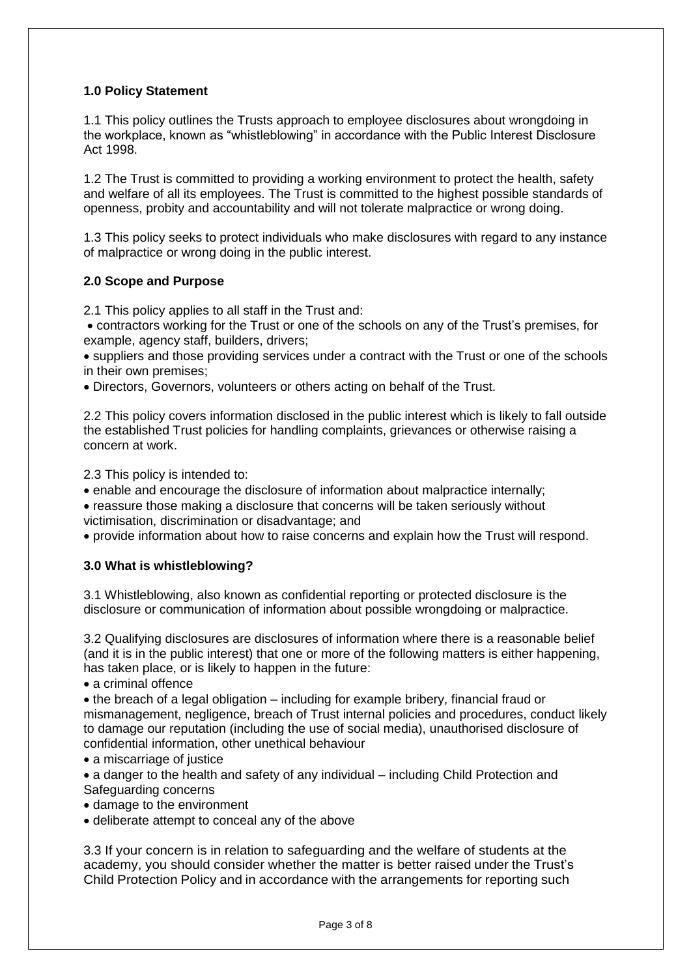### **1.0 Policy Statement**

1.1 This policy outlines the Trusts approach to employee disclosures about wrongdoing in the workplace, known as "whistleblowing" in accordance with the Public Interest Disclosure Act 1998.

1.2 The Trust is committed to providing a working environment to protect the health, safety and welfare of all its employees. The Trust is committed to the highest possible standards of openness, probity and accountability and will not tolerate malpractice or wrong doing.

1.3 This policy seeks to protect individuals who make disclosures with regard to any instance of malpractice or wrong doing in the public interest.

# **2.0 Scope and Purpose**

2.1 This policy applies to all staff in the Trust and:

• contractors working for the Trust or one of the schools on any of the Trust's premises, for example, agency staff, builders, drivers;

• suppliers and those providing services under a contract with the Trust or one of the schools in their own premises;

• Directors, Governors, volunteers or others acting on behalf of the Trust.

2.2 This policy covers information disclosed in the public interest which is likely to fall outside the established Trust policies for handling complaints, grievances or otherwise raising a concern at work.

2.3 This policy is intended to:

• enable and encourage the disclosure of information about malpractice internally;

• reassure those making a disclosure that concerns will be taken seriously without victimisation, discrimination or disadvantage; and

• provide information about how to raise concerns and explain how the Trust will respond.

#### **3.0 What is whistleblowing?**

3.1 Whistleblowing, also known as confidential reporting or protected disclosure is the disclosure or communication of information about possible wrongdoing or malpractice.

3.2 Qualifying disclosures are disclosures of information where there is a reasonable belief (and it is in the public interest) that one or more of the following matters is either happening, has taken place, or is likely to happen in the future:

• a criminal offence

• the breach of a legal obligation – including for example bribery, financial fraud or mismanagement, negligence, breach of Trust internal policies and procedures, conduct likely to damage our reputation (including the use of social media), unauthorised disclosure of confidential information, other unethical behaviour

• a miscarriage of justice

• a danger to the health and safety of any individual – including Child Protection and Safeguarding concerns

- damage to the environment
- deliberate attempt to conceal any of the above

3.3 If your concern is in relation to safeguarding and the welfare of students at the academy, you should consider whether the matter is better raised under the Trust's Child Protection Policy and in accordance with the arrangements for reporting such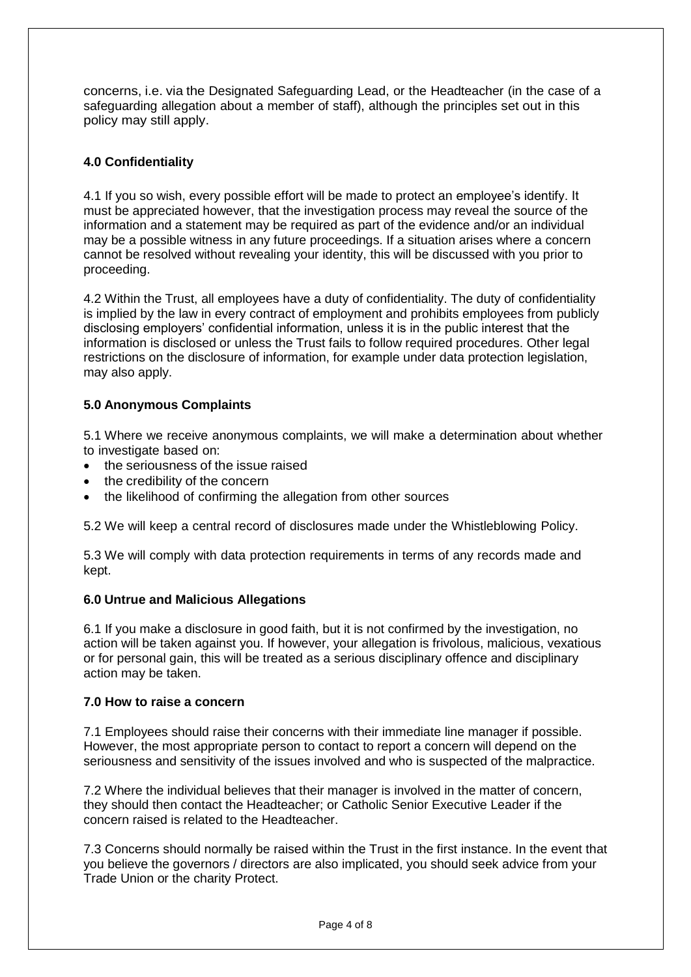concerns, i.e. via the Designated Safeguarding Lead, or the Headteacher (in the case of a safeguarding allegation about a member of staff), although the principles set out in this policy may still apply.

# **4.0 Confidentiality**

4.1 If you so wish, every possible effort will be made to protect an employee's identify. It must be appreciated however, that the investigation process may reveal the source of the information and a statement may be required as part of the evidence and/or an individual may be a possible witness in any future proceedings. If a situation arises where a concern cannot be resolved without revealing your identity, this will be discussed with you prior to proceeding.

4.2 Within the Trust, all employees have a duty of confidentiality. The duty of confidentiality is implied by the law in every contract of employment and prohibits employees from publicly disclosing employers' confidential information, unless it is in the public interest that the information is disclosed or unless the Trust fails to follow required procedures. Other legal restrictions on the disclosure of information, for example under data protection legislation, may also apply.

# **5.0 Anonymous Complaints**

5.1 Where we receive anonymous complaints, we will make a determination about whether to investigate based on:

- the seriousness of the issue raised
- the credibility of the concern
- the likelihood of confirming the allegation from other sources

5.2 We will keep a central record of disclosures made under the Whistleblowing Policy.

5.3 We will comply with data protection requirements in terms of any records made and kept.

#### **6.0 Untrue and Malicious Allegations**

6.1 If you make a disclosure in good faith, but it is not confirmed by the investigation, no action will be taken against you. If however, your allegation is frivolous, malicious, vexatious or for personal gain, this will be treated as a serious disciplinary offence and disciplinary action may be taken.

# **7.0 How to raise a concern**

7.1 Employees should raise their concerns with their immediate line manager if possible. However, the most appropriate person to contact to report a concern will depend on the seriousness and sensitivity of the issues involved and who is suspected of the malpractice.

7.2 Where the individual believes that their manager is involved in the matter of concern, they should then contact the Headteacher; or Catholic Senior Executive Leader if the concern raised is related to the Headteacher.

7.3 Concerns should normally be raised within the Trust in the first instance. In the event that you believe the governors / directors are also implicated, you should seek advice from your Trade Union or the charity Protect.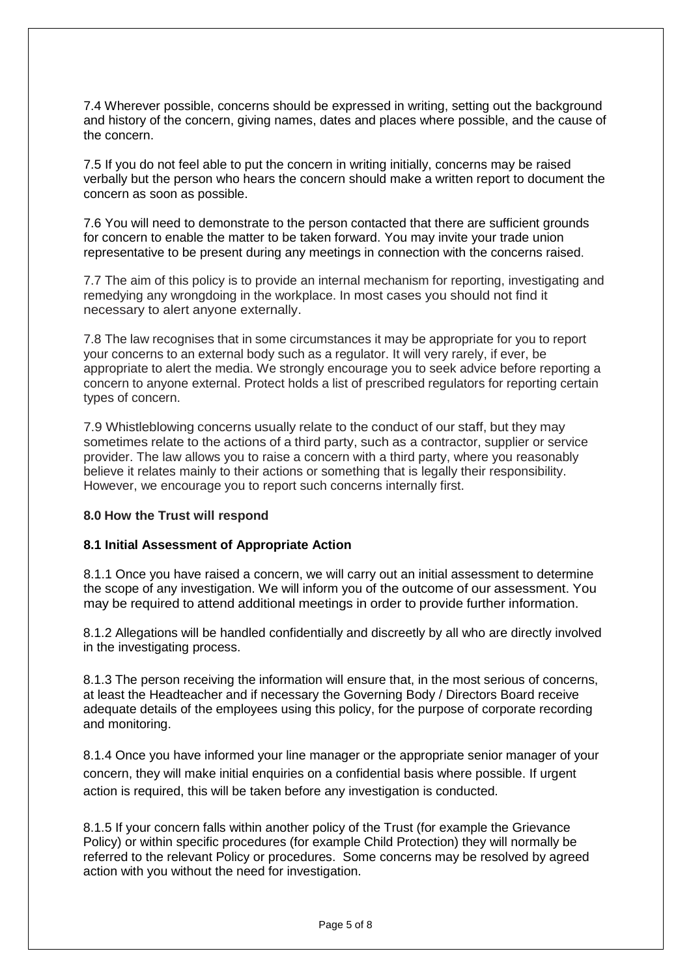7.4 Wherever possible, concerns should be expressed in writing, setting out the background and history of the concern, giving names, dates and places where possible, and the cause of the concern.

7.5 If you do not feel able to put the concern in writing initially, concerns may be raised verbally but the person who hears the concern should make a written report to document the concern as soon as possible.

7.6 You will need to demonstrate to the person contacted that there are sufficient grounds for concern to enable the matter to be taken forward. You may invite your trade union representative to be present during any meetings in connection with the concerns raised.

7.7 The aim of this policy is to provide an internal mechanism for reporting, investigating and remedying any wrongdoing in the workplace. In most cases you should not find it necessary to alert anyone externally.

7.8 The law recognises that in some circumstances it may be appropriate for you to report your concerns to an external body such as a regulator. It will very rarely, if ever, be appropriate to alert the media. We strongly encourage you to seek advice before reporting a concern to anyone external. Protect holds a list of prescribed regulators for reporting certain types of concern.

7.9 Whistleblowing concerns usually relate to the conduct of our staff, but they may sometimes relate to the actions of a third party, such as a contractor, supplier or service provider. The law allows you to raise a concern with a third party, where you reasonably believe it relates mainly to their actions or something that is legally their responsibility. However, we encourage you to report such concerns internally first.

#### **8.0 How the Trust will respond**

#### **8.1 Initial Assessment of Appropriate Action**

8.1.1 Once you have raised a concern, we will carry out an initial assessment to determine the scope of any investigation. We will inform you of the outcome of our assessment. You may be required to attend additional meetings in order to provide further information.

8.1.2 Allegations will be handled confidentially and discreetly by all who are directly involved in the investigating process.

8.1.3 The person receiving the information will ensure that, in the most serious of concerns, at least the Headteacher and if necessary the Governing Body / Directors Board receive adequate details of the employees using this policy, for the purpose of corporate recording and monitoring.

8.1.4 Once you have informed your line manager or the appropriate senior manager of your concern, they will make initial enquiries on a confidential basis where possible. If urgent action is required, this will be taken before any investigation is conducted.

8.1.5 If your concern falls within another policy of the Trust (for example the Grievance Policy) or within specific procedures (for example Child Protection) they will normally be referred to the relevant Policy or procedures. Some concerns may be resolved by agreed action with you without the need for investigation.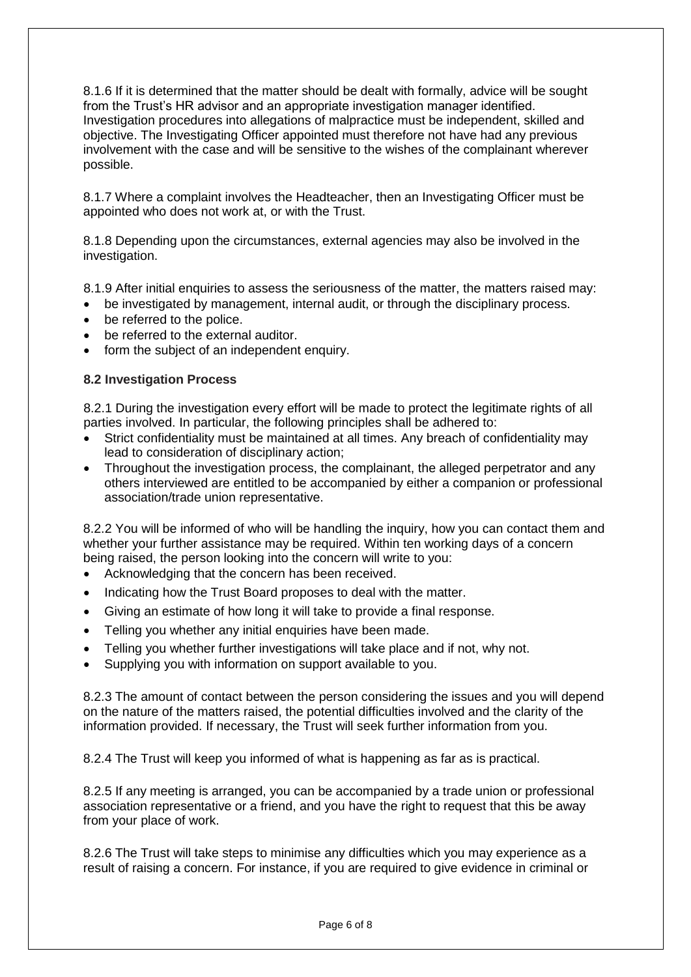8.1.6 If it is determined that the matter should be dealt with formally, advice will be sought from the Trust's HR advisor and an appropriate investigation manager identified. Investigation procedures into allegations of malpractice must be independent, skilled and objective. The Investigating Officer appointed must therefore not have had any previous involvement with the case and will be sensitive to the wishes of the complainant wherever possible.

8.1.7 Where a complaint involves the Headteacher, then an Investigating Officer must be appointed who does not work at, or with the Trust.

8.1.8 Depending upon the circumstances, external agencies may also be involved in the investigation.

8.1.9 After initial enquiries to assess the seriousness of the matter, the matters raised may:

- be investigated by management, internal audit, or through the disciplinary process.
- be referred to the police.
- be referred to the external auditor.
- form the subject of an independent enquiry.

#### **8.2 Investigation Process**

8.2.1 During the investigation every effort will be made to protect the legitimate rights of all parties involved. In particular, the following principles shall be adhered to:

- Strict confidentiality must be maintained at all times. Any breach of confidentiality may lead to consideration of disciplinary action;
- Throughout the investigation process, the complainant, the alleged perpetrator and any others interviewed are entitled to be accompanied by either a companion or professional association/trade union representative.

8.2.2 You will be informed of who will be handling the inquiry, how you can contact them and whether your further assistance may be required. Within ten working days of a concern being raised, the person looking into the concern will write to you:

- Acknowledging that the concern has been received.
- Indicating how the Trust Board proposes to deal with the matter.
- Giving an estimate of how long it will take to provide a final response.
- Telling you whether any initial enquiries have been made.
- Telling you whether further investigations will take place and if not, why not.
- Supplying you with information on support available to you.

8.2.3 The amount of contact between the person considering the issues and you will depend on the nature of the matters raised, the potential difficulties involved and the clarity of the information provided. If necessary, the Trust will seek further information from you.

8.2.4 The Trust will keep you informed of what is happening as far as is practical.

8.2.5 If any meeting is arranged, you can be accompanied by a trade union or professional association representative or a friend, and you have the right to request that this be away from your place of work.

8.2.6 The Trust will take steps to minimise any difficulties which you may experience as a result of raising a concern. For instance, if you are required to give evidence in criminal or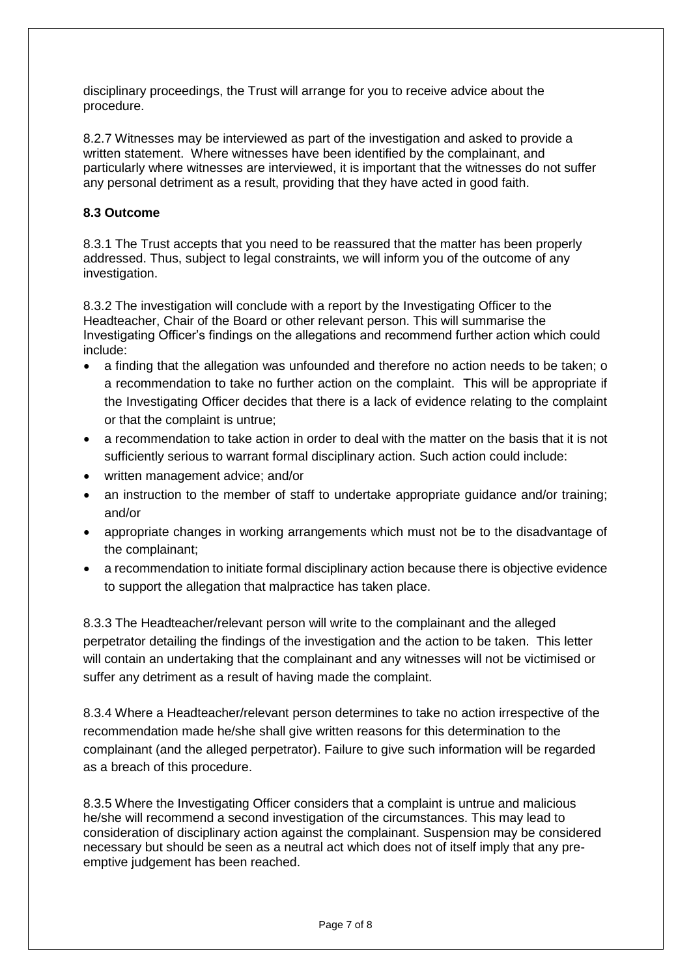disciplinary proceedings, the Trust will arrange for you to receive advice about the procedure.

8.2.7 Witnesses may be interviewed as part of the investigation and asked to provide a written statement. Where witnesses have been identified by the complainant, and particularly where witnesses are interviewed, it is important that the witnesses do not suffer any personal detriment as a result, providing that they have acted in good faith.

# **8.3 Outcome**

8.3.1 The Trust accepts that you need to be reassured that the matter has been properly addressed. Thus, subject to legal constraints, we will inform you of the outcome of any investigation.

8.3.2 The investigation will conclude with a report by the Investigating Officer to the Headteacher, Chair of the Board or other relevant person. This will summarise the Investigating Officer's findings on the allegations and recommend further action which could include:

- a finding that the allegation was unfounded and therefore no action needs to be taken; o a recommendation to take no further action on the complaint. This will be appropriate if the Investigating Officer decides that there is a lack of evidence relating to the complaint or that the complaint is untrue;
- a recommendation to take action in order to deal with the matter on the basis that it is not sufficiently serious to warrant formal disciplinary action. Such action could include:
- written management advice; and/or
- an instruction to the member of staff to undertake appropriate guidance and/or training; and/or
- appropriate changes in working arrangements which must not be to the disadvantage of the complainant;
- a recommendation to initiate formal disciplinary action because there is objective evidence to support the allegation that malpractice has taken place.

8.3.3 The Headteacher/relevant person will write to the complainant and the alleged perpetrator detailing the findings of the investigation and the action to be taken. This letter will contain an undertaking that the complainant and any witnesses will not be victimised or suffer any detriment as a result of having made the complaint.

8.3.4 Where a Headteacher/relevant person determines to take no action irrespective of the recommendation made he/she shall give written reasons for this determination to the complainant (and the alleged perpetrator). Failure to give such information will be regarded as a breach of this procedure.

8.3.5 Where the Investigating Officer considers that a complaint is untrue and malicious he/she will recommend a second investigation of the circumstances. This may lead to consideration of disciplinary action against the complainant. Suspension may be considered necessary but should be seen as a neutral act which does not of itself imply that any preemptive judgement has been reached.